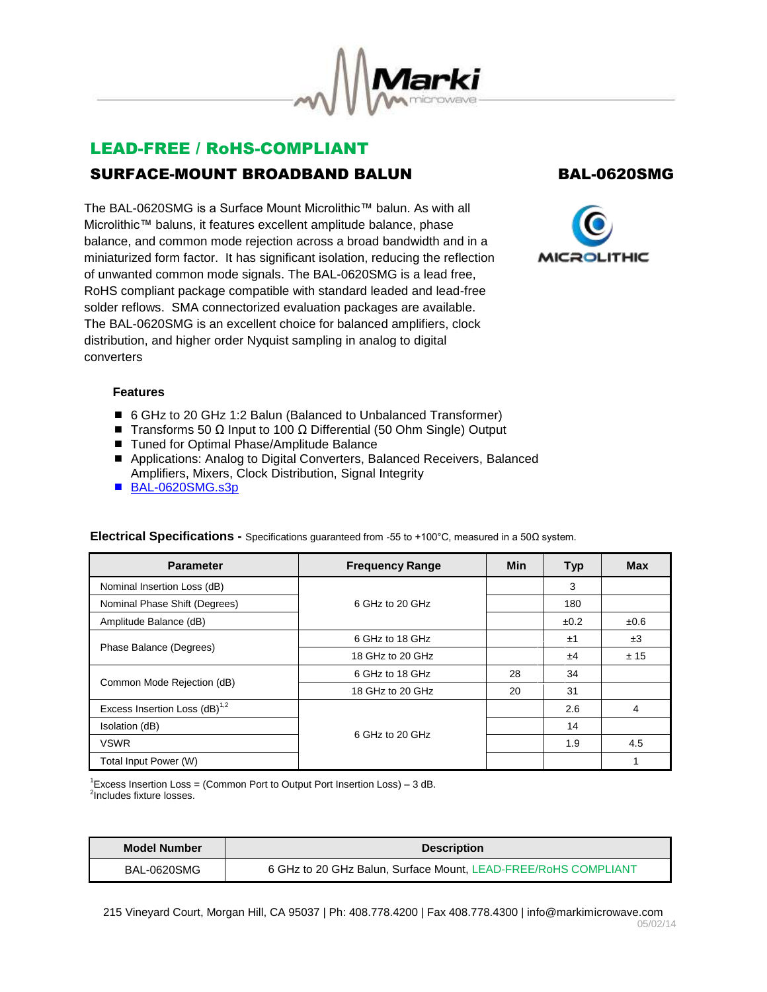

# LEAD-FREE / RoHS-COMPLIANT SURFACE-MOUNT BROADBAND BALUN BAL-0620SMG

The BAL-0620SMG is a Surface Mount Microlithic™ balun. As with all Microlithic™ baluns, it features excellent amplitude balance, phase balance, and common mode rejection across a broad bandwidth and in a miniaturized form factor. It has significant isolation, reducing the reflection of unwanted common mode signals. The BAL-0620SMG is a lead free, RoHS compliant package compatible with standard leaded and lead-free solder reflows. SMA connectorized evaluation packages are available. The BAL-0620SMG is an excellent choice for balanced amplifiers, clock distribution, and higher order Nyquist sampling in analog to digital converters



## **Features**

- 6 GHz to 20 GHz 1:2 Balun (Balanced to Unbalanced Transformer)
- $\blacksquare$  Transforms 50 Ω Input to 100 Ω Differential (50 Ohm Single) Output
- Tuned for Optimal Phase/Amplitude Balance
- Applications: Analog to Digital Converters, Balanced Receivers, Balanced Amplifiers, Mixers, Clock Distribution, Signal Integrity
- [BAL-0620SMG.s3p](http://www.markimicrowave.com/assets/data/BAL-0620SMG.zip)

| <b>Parameter</b>                          | <b>Frequency Range</b> | <b>Min</b> | <b>Typ</b> | <b>Max</b> |
|-------------------------------------------|------------------------|------------|------------|------------|
| Nominal Insertion Loss (dB)               |                        |            | 3          |            |
| Nominal Phase Shift (Degrees)             | 6 GHz to 20 GHz        |            | 180        |            |
| Amplitude Balance (dB)                    |                        |            | ±0.2       | ±0.6       |
| Phase Balance (Degrees)                   | 6 GHz to 18 GHz        |            | ±1         | ±3         |
|                                           | 18 GHz to 20 GHz       |            | ±4         | ± 15       |
| Common Mode Rejection (dB)                | 6 GHz to 18 GHz        | 28         | 34         |            |
|                                           | 18 GHz to 20 GHz       | 20         | 31         |            |
| Excess Insertion Loss (dB) <sup>1,2</sup> |                        |            | 2.6        | 4          |
| Isolation (dB)                            |                        |            | 14         |            |
| <b>VSWR</b>                               | 6 GHz to 20 GHz        |            | 1.9        | 4.5        |
| Total Input Power (W)                     |                        |            |            |            |

### **Electrical Specifications -** Specifications guaranteed from -55 to +100°C, measured in a 50Ω system.

<sup>1</sup>Excess Insertion Loss = (Common Port to Output Port Insertion Loss) – 3 dB. <sup>2</sup>Includes fixture losses.

| <b>Model Number</b> | <b>Description</b>                                             |  |
|---------------------|----------------------------------------------------------------|--|
| BAL-0620SMG         | 6 GHz to 20 GHz Balun, Surface Mount, LEAD-FREE/RoHS COMPLIANT |  |

215 Vineyard Court, Morgan Hill, CA 95037 | Ph: 408.778.4200 | Fax 408.778.4300 | info@markimicrowave.com 05/02/14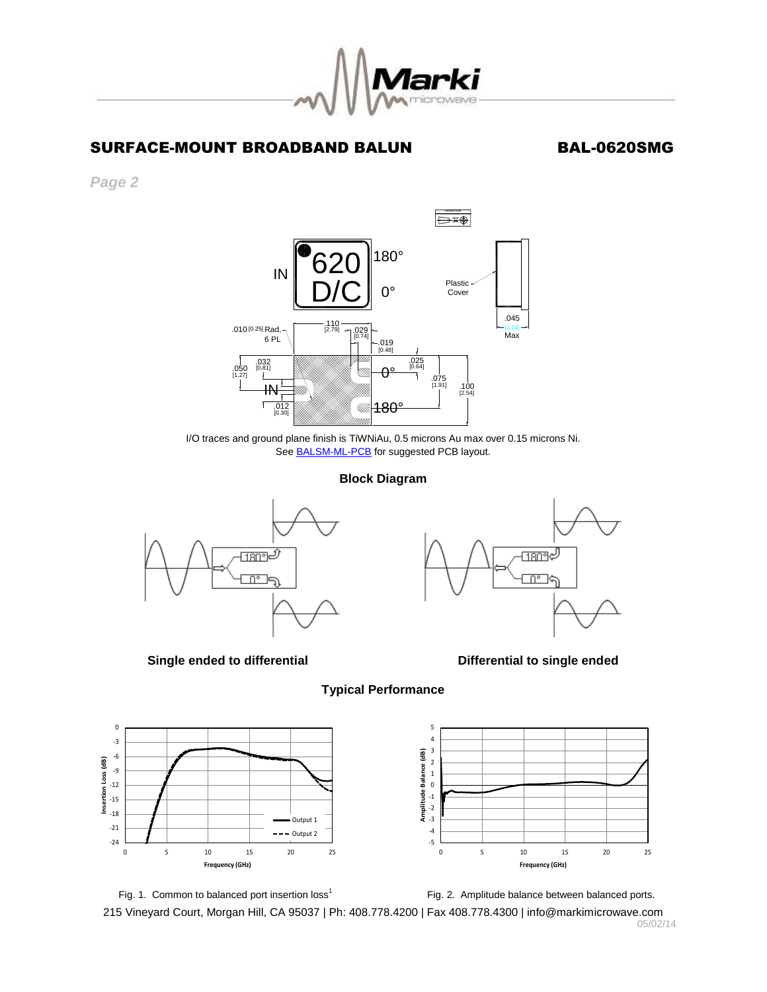

## SURFACE-MOUNT BROADBAND BALUN BAL-0620SMG

*Page 2*



I/O traces and ground plane finish is TiWNiAu, 0.5 microns Au max over 0.15 microns Ni. See **BALSM-ML-PCB** for suggested PCB layout.

### **Block Diagram**



**Single ended to differential differential differential Differential to single ended** 







 $-5$   $\frac{1}{0}$ -4 -3 -2 -1 0 1 2 3 4 5 0 5 10 15 20 25 **Amplitude Balance (dB) Frequency (GHz)**

Fig. 1. Common to balanced port insertion loss<sup>1</sup>

Fig. 2. Amplitude balance between balanced ports.

215 Vineyard Court, Morgan Hill, CA 95037 | Ph: 408.778.4200 | Fax 408.778.4300 | info@markimicrowave.com 05/02/14